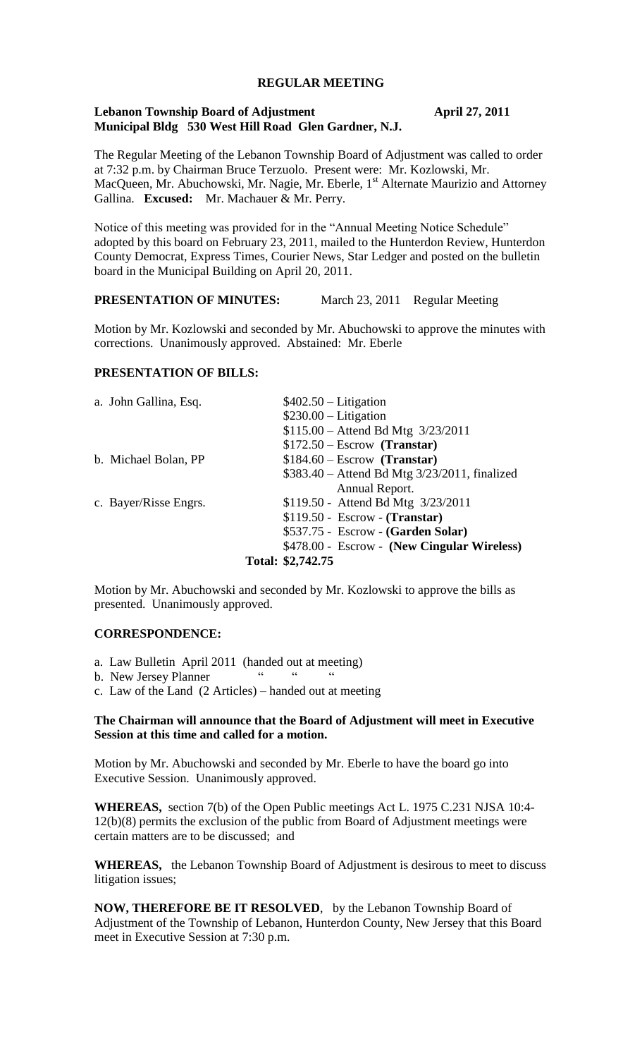### **REGULAR MEETING**

## **Lebanon Township Board of Adjustment April 27, 2011 Municipal Bldg 530 West Hill Road Glen Gardner, N.J.**

The Regular Meeting of the Lebanon Township Board of Adjustment was called to order at 7:32 p.m. by Chairman Bruce Terzuolo. Present were: Mr. Kozlowski, Mr. MacQueen, Mr. Abuchowski, Mr. Nagie, Mr. Eberle, 1<sup>st</sup> Alternate Maurizio and Attorney Gallina. **Excused:** Mr. Machauer & Mr. Perry.

Notice of this meeting was provided for in the "Annual Meeting Notice Schedule" adopted by this board on February 23, 2011, mailed to the Hunterdon Review, Hunterdon County Democrat, Express Times, Courier News, Star Ledger and posted on the bulletin board in the Municipal Building on April 20, 2011.

## **PRESENTATION OF MINUTES:** March 23, 2011 Regular Meeting

Motion by Mr. Kozlowski and seconded by Mr. Abuchowski to approve the minutes with corrections. Unanimously approved. Abstained: Mr. Eberle

# **PRESENTATION OF BILLS:**

|                       | Total: \$2,742.75                             |
|-----------------------|-----------------------------------------------|
|                       | \$478.00 - Escrow - (New Cingular Wireless)   |
|                       | \$537.75 - Escrow - (Garden Solar)            |
|                       | $$119.50 - Escrow - (Transfer)$               |
| c. Bayer/Risse Engrs. | \$119.50 - Attend Bd Mtg 3/23/2011            |
|                       | Annual Report.                                |
|                       | \$383.40 – Attend Bd Mtg 3/23/2011, finalized |
| b. Michael Bolan, PP  | $$184.60 - Escrow$ (Transtar)                 |
|                       | $$172.50 - Escrow$ (Transtar)                 |
|                       | $$115.00 -$ Attend Bd Mtg $3/23/2011$         |
|                       | $$230.00$ - Litigation                        |
| a. John Gallina, Esq. | $$402.50 - Litigation$                        |

Motion by Mr. Abuchowski and seconded by Mr. Kozlowski to approve the bills as presented. Unanimously approved.

#### **CORRESPONDENCE:**

- a. Law Bulletin April 2011 (handed out at meeting)
- b. New Jersey Planner
- c. Law of the Land (2 Articles) handed out at meeting

### **The Chairman will announce that the Board of Adjustment will meet in Executive Session at this time and called for a motion.**

Motion by Mr. Abuchowski and seconded by Mr. Eberle to have the board go into Executive Session. Unanimously approved.

**WHEREAS,** section 7(b) of the Open Public meetings Act L. 1975 C.231 NJSA 10:4- 12(b)(8) permits the exclusion of the public from Board of Adjustment meetings were certain matters are to be discussed; and

**WHEREAS,** the Lebanon Township Board of Adjustment is desirous to meet to discuss litigation issues;

**NOW, THEREFORE BE IT RESOLVED**, by the Lebanon Township Board of Adjustment of the Township of Lebanon, Hunterdon County, New Jersey that this Board meet in Executive Session at 7:30 p.m.